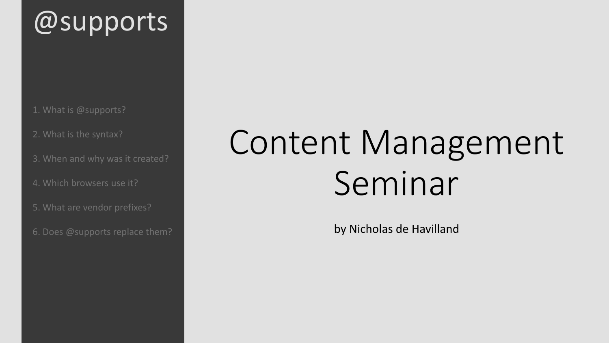1. What is @supports?

2. What is the syntax?

3. When and why was it created?

4. Which browsers use it?

5. What are vendor prefixes?

6. Does @supports replace them?

# Content Management Seminar

by Nicholas de Havilland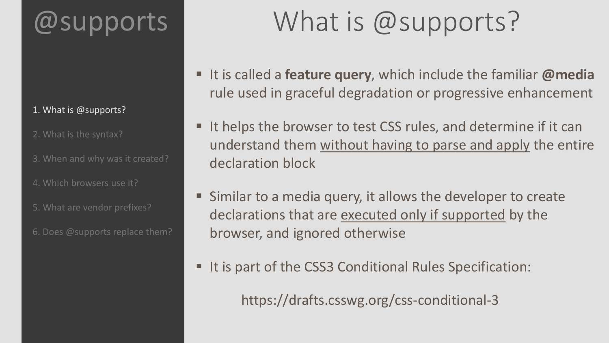#### 1. What is @supports?

2. What is the syntax?

- 3. When and why was it created?
- 4. Which browsers use it?
- 5. What are vendor prefixes?
- 6. Does @supports replace them?

# What is @supports?

- It is called a **feature query**, which include the familiar **@media** rule used in graceful degradation or progressive enhancement
- It helps the browser to test CSS rules, and determine if it can understand them without having to parse and apply the entire declaration block
- Similar to a media query, it allows the developer to create declarations that are executed only if supported by the browser, and ignored otherwise
- It is part of the CSS3 Conditional Rules Specification:

https://drafts.csswg.org/css-conditional-3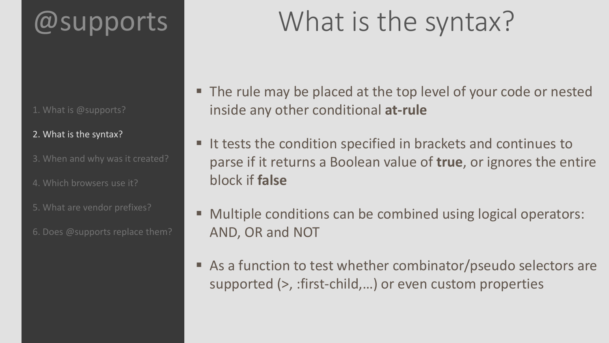- 1. What is @supports?
- 2. What is the syntax?
- 3. When and why was it created?
- 4. Which browsers use it?
- 5. What are vendor prefixes?
- 6. Does @supports replace them?

# What is the syntax?

- The rule may be placed at the top level of your code or nested inside any other conditional **at-rule**
- It tests the condition specified in brackets and continues to parse if it returns a Boolean value of **true**, or ignores the entire block if **false**
- Multiple conditions can be combined using logical operators: AND, OR and NOT
- As a function to test whether combinator/pseudo selectors are supported (>, :first-child,...) or even custom properties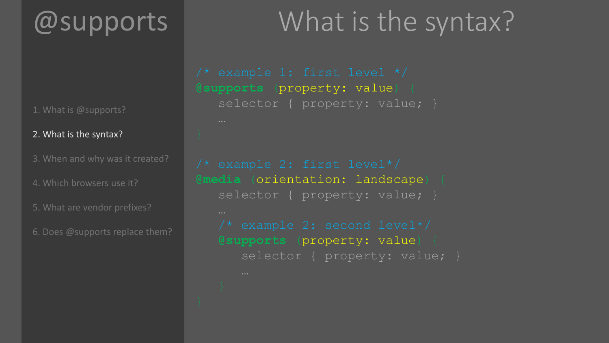1. What is @supports?

#### 2. What is the syntax?

- 3. When and why was it created?
- 4. Which browsers use it?
- 5. What are vendor prefixes?
- 6. Does @supports replace them?

# What is the syntax?

**@supports** (property: value) { selector { property: value; }

**@media** (orientation: landscape) { selector { property: value; } **@supports** (property: value) {

selector { property: value; }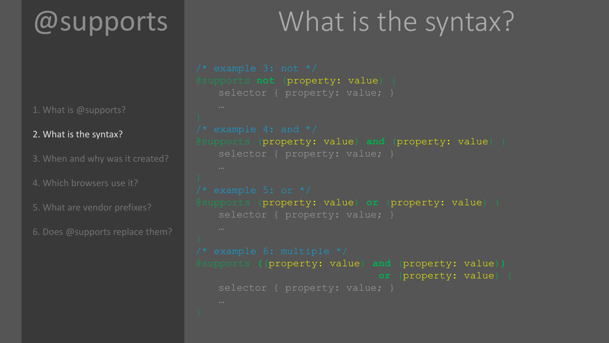1. What is @supports?

#### 2. What is the syntax?

3. When and why was it created?

4. Which browsers use it?

5. What are vendor prefixes?

6. Does @supports replace them?

### What is the syntax?

```
@supports not (property: value) {
   selector { property: value; }
@supports (property: value) and (property: value) {
   selector { property: value; }
@supports (property: value) or (property: value) {
   selector { property: value; }
@supports ((property: value) and (property: value))
                              or (property: value) {
   selector { property: value; }
```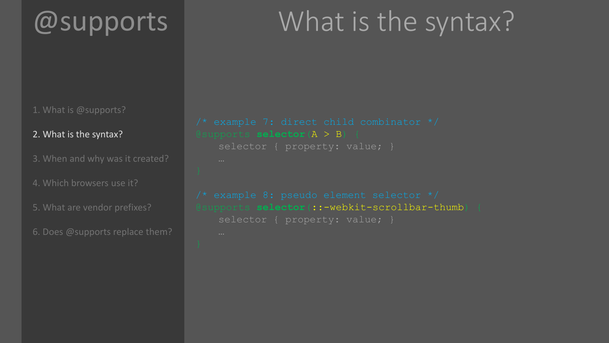### What is the syntax?

#### 1. What is @supports?

#### 2. What is the syntax?

- 3. When and why was it created?
- 4. Which browsers use it?
- 5. What are vendor prefixes?
- 6. Does @supports replace them?

```
@supports selector(A > B) {
   selector { property: value; }
@supports selector(::-webkit-scrollbar-thumb) {
   selector { property: value; }
```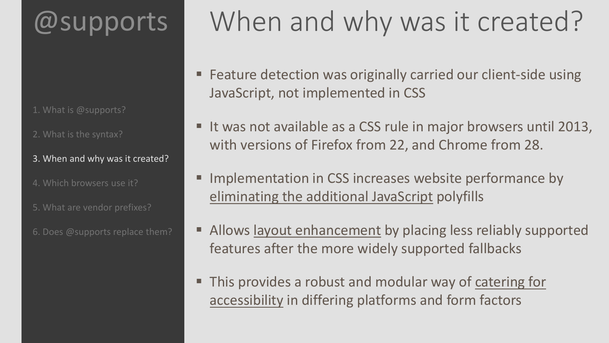- 1. What is @supports?
- 2. What is the syntax?
- 3. When and why was it created?
- 4. Which browsers use it?
- 5. What are vendor prefixes?
- 6. Does @supports replace them?

# When and why was it created?

- Feature detection was originally carried our client-side using JavaScript, not implemented in CSS
- It was not available as a CSS rule in major browsers until 2013, with versions of Firefox from 22, and Chrome from 28.
- Implementation in CSS increases website performance by eliminating the additional JavaScript polyfills
- Allows layout enhancement by placing less reliably supported features after the more widely supported fallbacks
- This provides a robust and modular way of catering for accessibility in differing platforms and form factors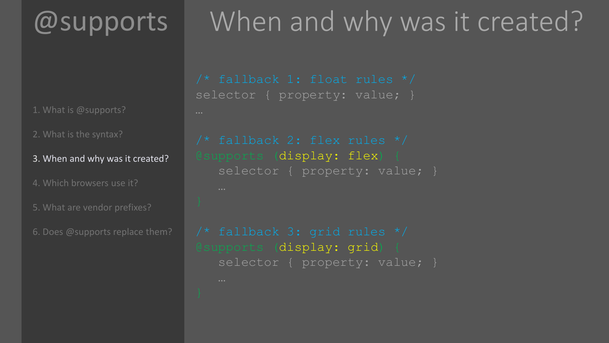1. What is @supports?

2. What is the syntax?

3. When and why was it created?

4. Which browsers use it?

5. What are vendor prefixes?

6. Does @supports replace them?

# When and why was it created?

selector { property: value; }

@supports (display: flex) { selector { property: value; }

@supports (display: grid) { selector { property: value; }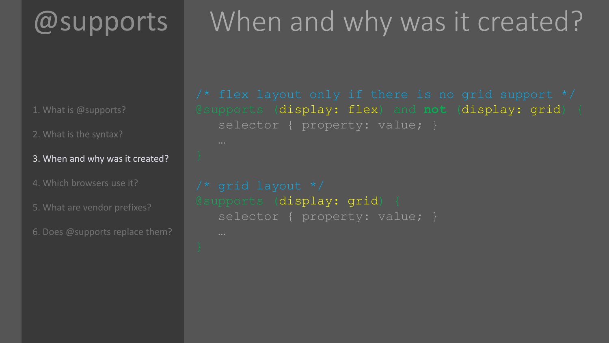1. What is @supports?

2. What is the syntax?

- 3. When and why was it created?
- 4. Which browsers use it?
- 5. What are vendor prefixes?
- 6. Does @supports replace them?

# When and why was it created?

@supports (display: flex) and **not** (display: grid) { selector { property: value; }

```
@supports (display: grid) {
   selector { property: value; }
```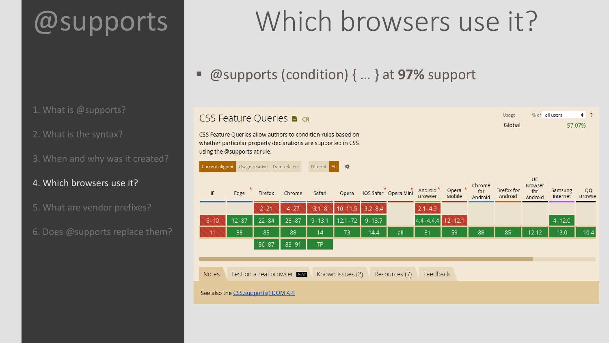1. What is @supports?

2. What is the syntax?

3. When and why was it created?

#### 4. Which browsers use it?

- 5. What are vendor prefixes?
- 6. Does @supports replace them?

# Which browsers use it?

 $\div$  7

97.07%

% of all users

Usage

Global

@supports (condition) { … } at **97%** support

#### **CSS Feature Queries ■ CR**

CSS Feature Queries allow authors to condition rules based on whether particular property declarations are supported in CSS using the @supports at rule.

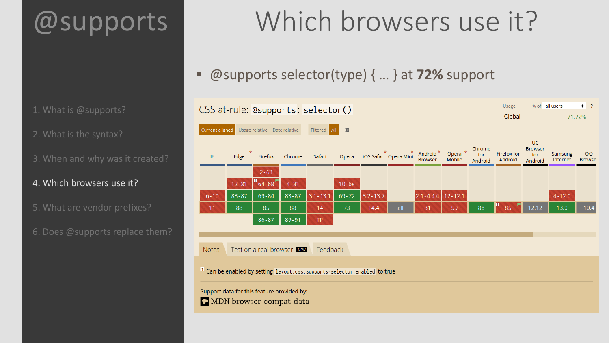1. What is @supports?

2. What is the syntax?

- 3. When and why was it created?
- 4. Which browsers use it?
- 5. What are vendor prefixes?
- 6. Does @supports replace them?

# Which browsers use it?

@supports selector(type) { … } at **72%** support

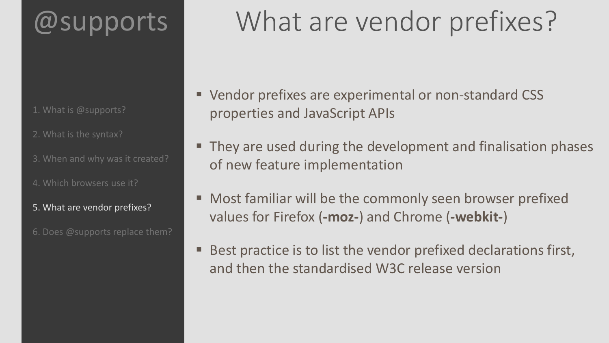- 1. What is @supports?
- 2. What is the syntax?
- 3. When and why was it created?
- 4. Which browsers use it?
- 5. What are vendor prefixes?
- 6. Does @supports replace them?

# What are vendor prefixes?

- Vendor prefixes are experimental or non-standard CSS properties and JavaScript APIs
- They are used during the development and finalisation phases of new feature implementation
- Most familiar will be the commonly seen browser prefixed values for Firefox (**-moz-**) and Chrome (**-webkit-**)
- Best practice is to list the vendor prefixed declarations first, and then the standardised W3C release version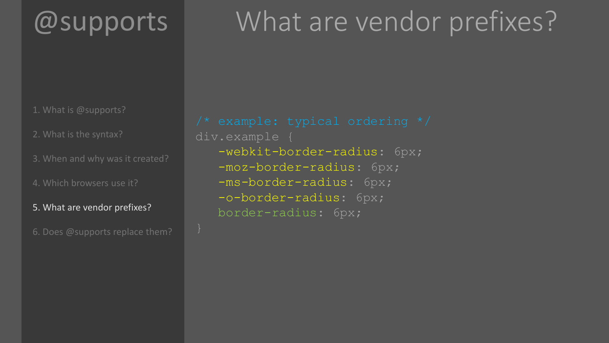# What are vendor prefixes?

- 1. What is @supports?
- 2. What is the syntax?
- 3. When and why was it created?
- 4. Which browsers use it?
- 5. What are vendor prefixes?
- 6. Does @supports replace them?

div.example { -webkit-border-radius: 6px; -moz-border-radius: 6px; -ms-border-radius: 6px; -o-border-radius: 6px; border-radius: 6px;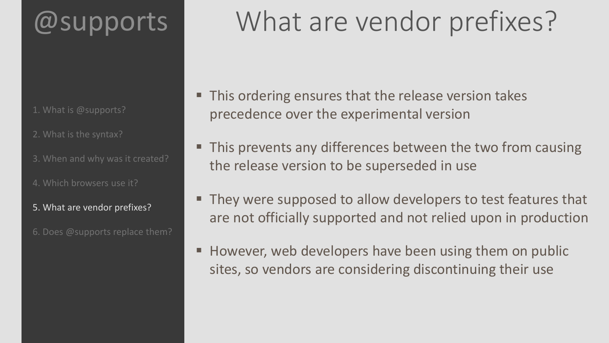- 1. What is @supports?
- 2. What is the syntax?
- 3. When and why was it created?
- 4. Which browsers use it?
- 5. What are vendor prefixes?
- 6. Does @supports replace them?

# What are vendor prefixes?

- This ordering ensures that the release version takes precedence over the experimental version
- **This prevents any differences between the two from causing** the release version to be superseded in use
- **They were supposed to allow developers to test features that** are not officially supported and not relied upon in production
- However, web developers have been using them on public sites, so vendors are considering discontinuing their use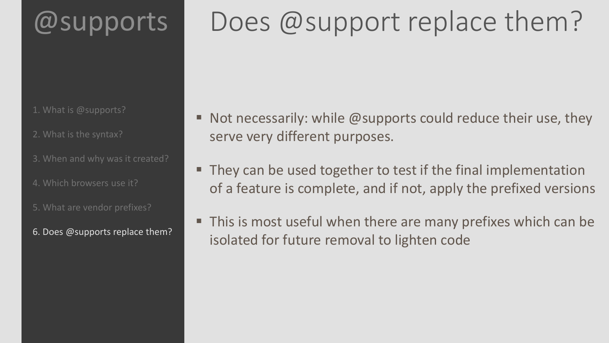# Does @support replace them?

- 1. What is @supports?
- 2. What is the syntax?
- 3. When and why was it created?
- 4. Which browsers use it?
- 5. What are vendor prefixes?
- 6. Does @supports replace them?
- Not necessarily: while @supports could reduce their use, they serve very different purposes.
- **They can be used together to test if the final implementation** of a feature is complete, and if not, apply the prefixed versions
- This is most useful when there are many prefixes which can be isolated for future removal to lighten code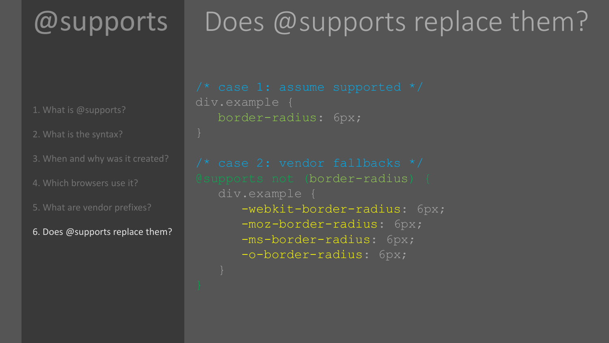# Does @supports replace them?

1. What is @supports?

2. What is the syntax?

- 3. When and why was it created?
- 4. Which browsers use it?

5. What are vendor prefixes?

6. Does @supports replace them?

```
div.example {
   border-radius: 6px;
```
@supports not (border-radius) { div.example { -webkit-border-radius: 6px; -moz-border-radius: 6px; -ms-border-radius: 6px; -o-border-radius: 6px;